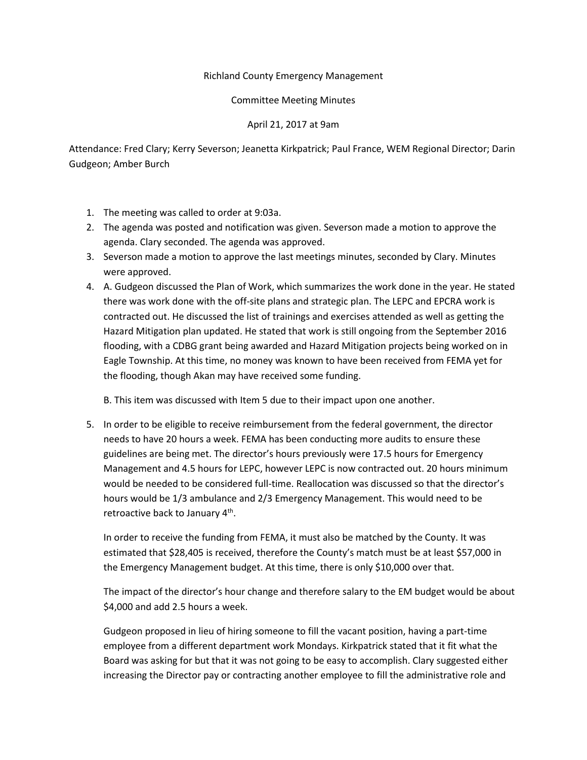## Richland County Emergency Management

## Committee Meeting Minutes

## April 21, 2017 at 9am

Attendance: Fred Clary; Kerry Severson; Jeanetta Kirkpatrick; Paul France, WEM Regional Director; Darin Gudgeon; Amber Burch

- 1. The meeting was called to order at 9:03a.
- 2. The agenda was posted and notification was given. Severson made a motion to approve the agenda. Clary seconded. The agenda was approved.
- 3. Severson made a motion to approve the last meetings minutes, seconded by Clary. Minutes were approved.
- 4. A. Gudgeon discussed the Plan of Work, which summarizes the work done in the year. He stated there was work done with the off-site plans and strategic plan. The LEPC and EPCRA work is contracted out. He discussed the list of trainings and exercises attended as well as getting the Hazard Mitigation plan updated. He stated that work is still ongoing from the September 2016 flooding, with a CDBG grant being awarded and Hazard Mitigation projects being worked on in Eagle Township. At this time, no money was known to have been received from FEMA yet for the flooding, though Akan may have received some funding.

B. This item was discussed with Item 5 due to their impact upon one another.

5. In order to be eligible to receive reimbursement from the federal government, the director needs to have 20 hours a week. FEMA has been conducting more audits to ensure these guidelines are being met. The director's hours previously were 17.5 hours for Emergency Management and 4.5 hours for LEPC, however LEPC is now contracted out. 20 hours minimum would be needed to be considered full-time. Reallocation was discussed so that the director's hours would be 1/3 ambulance and 2/3 Emergency Management. This would need to be retroactive back to January 4<sup>th</sup>.

In order to receive the funding from FEMA, it must also be matched by the County. It was estimated that \$28,405 is received, therefore the County's match must be at least \$57,000 in the Emergency Management budget. At this time, there is only \$10,000 over that.

The impact of the director's hour change and therefore salary to the EM budget would be about \$4,000 and add 2.5 hours a week.

Gudgeon proposed in lieu of hiring someone to fill the vacant position, having a part-time employee from a different department work Mondays. Kirkpatrick stated that it fit what the Board was asking for but that it was not going to be easy to accomplish. Clary suggested either increasing the Director pay or contracting another employee to fill the administrative role and